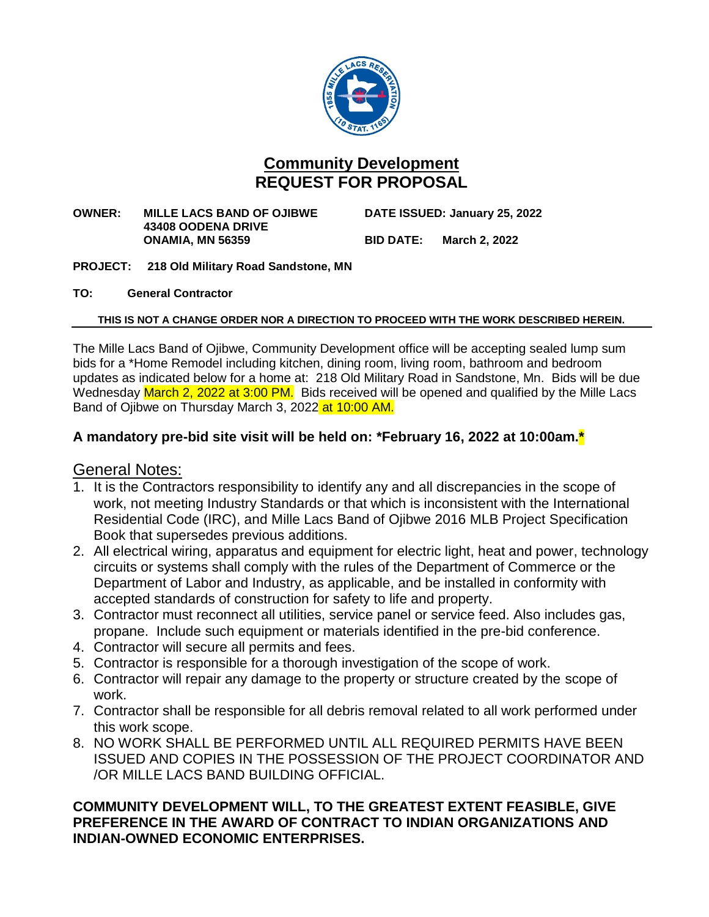

### **Community Development REQUEST FOR PROPOSAL**

**OWNER: MILLE LACS BAND OF OJIBWE DATE ISSUED: January 25, 2022 43408 OODENA DRIVE ONAMIA, MN 56359 BID DATE: March 2, 2022**

- **PROJECT: 218 Old Military Road Sandstone, MN**
- **TO: General Contractor**

#### **THIS IS NOT A CHANGE ORDER NOR A DIRECTION TO PROCEED WITH THE WORK DESCRIBED HEREIN.**

The Mille Lacs Band of Ojibwe, Community Development office will be accepting sealed lump sum bids for a \*Home Remodel including kitchen, dining room, living room, bathroom and bedroom updates as indicated below for a home at: 218 Old Military Road in Sandstone, Mn. Bids will be due Wednesday March 2, 2022 at 3:00 PM. Bids received will be opened and qualified by the Mille Lacs Band of Ojibwe on Thursday March 3, 2022 at 10:00 AM.

#### **A mandatory pre-bid site visit will be held on: \*February 16, 2022 at 10:00am.\***

#### General Notes:

- 1. It is the Contractors responsibility to identify any and all discrepancies in the scope of work, not meeting Industry Standards or that which is inconsistent with the International Residential Code (IRC), and Mille Lacs Band of Ojibwe 2016 MLB Project Specification Book that supersedes previous additions.
- 2. All electrical wiring, apparatus and equipment for electric light, heat and power, technology circuits or systems shall comply with the rules of the Department of Commerce or the Department of Labor and Industry, as applicable, and be installed in conformity with accepted standards of construction for safety to life and property.
- 3. Contractor must reconnect all utilities, service panel or service feed. Also includes gas, propane. Include such equipment or materials identified in the pre-bid conference.
- 4. Contractor will secure all permits and fees.
- 5. Contractor is responsible for a thorough investigation of the scope of work.
- 6. Contractor will repair any damage to the property or structure created by the scope of work.
- 7. Contractor shall be responsible for all debris removal related to all work performed under this work scope.
- 8. NO WORK SHALL BE PERFORMED UNTIL ALL REQUIRED PERMITS HAVE BEEN ISSUED AND COPIES IN THE POSSESSION OF THE PROJECT COORDINATOR AND /OR MILLE LACS BAND BUILDING OFFICIAL.

#### **COMMUNITY DEVELOPMENT WILL, TO THE GREATEST EXTENT FEASIBLE, GIVE PREFERENCE IN THE AWARD OF CONTRACT TO INDIAN ORGANIZATIONS AND INDIAN-OWNED ECONOMIC ENTERPRISES.**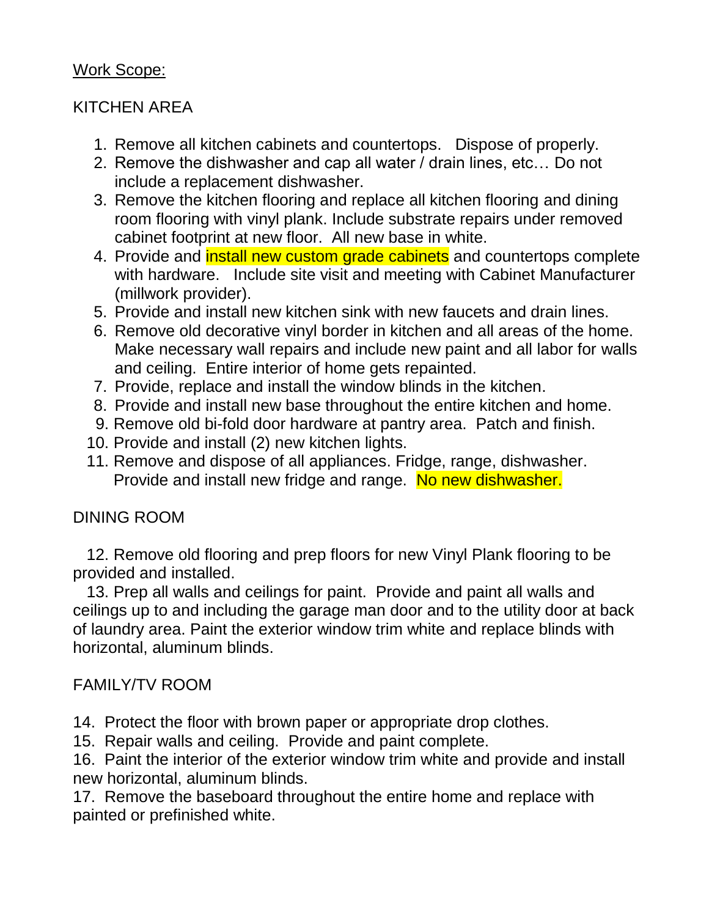# Work Scope:

# KITCHEN AREA

- 1. Remove all kitchen cabinets and countertops. Dispose of properly.
- 2. Remove the dishwasher and cap all water / drain lines, etc… Do not include a replacement dishwasher.
- 3. Remove the kitchen flooring and replace all kitchen flooring and dining room flooring with vinyl plank. Include substrate repairs under removed cabinet footprint at new floor. All new base in white.
- 4. Provide and **install new custom grade cabinets** and countertops complete with hardware. Include site visit and meeting with Cabinet Manufacturer (millwork provider).
- 5. Provide and install new kitchen sink with new faucets and drain lines.
- 6. Remove old decorative vinyl border in kitchen and all areas of the home. Make necessary wall repairs and include new paint and all labor for walls and ceiling. Entire interior of home gets repainted.
- 7. Provide, replace and install the window blinds in the kitchen.
- 8. Provide and install new base throughout the entire kitchen and home.
- 9. Remove old bi-fold door hardware at pantry area. Patch and finish.
- 10. Provide and install (2) new kitchen lights.
- 11. Remove and dispose of all appliances. Fridge, range, dishwasher. Provide and install new fridge and range. No new dishwasher.

# DINING ROOM

 12. Remove old flooring and prep floors for new Vinyl Plank flooring to be provided and installed.

 13. Prep all walls and ceilings for paint. Provide and paint all walls and ceilings up to and including the garage man door and to the utility door at back of laundry area. Paint the exterior window trim white and replace blinds with horizontal, aluminum blinds.

# FAMILY/TV ROOM

- 14. Protect the floor with brown paper or appropriate drop clothes.
- 15. Repair walls and ceiling. Provide and paint complete.

16. Paint the interior of the exterior window trim white and provide and install new horizontal, aluminum blinds.

17. Remove the baseboard throughout the entire home and replace with painted or prefinished white.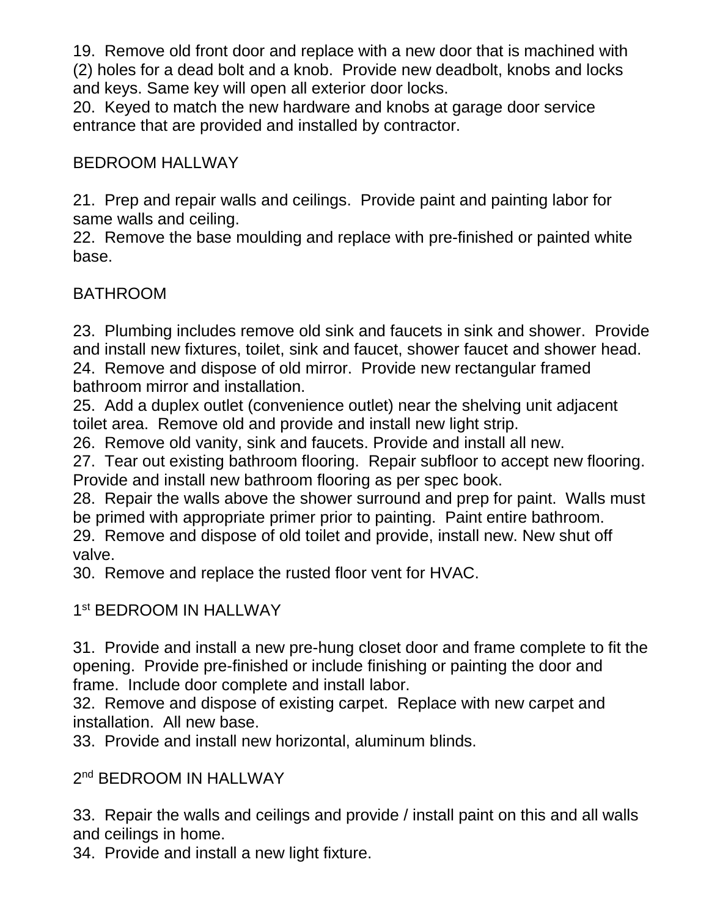19. Remove old front door and replace with a new door that is machined with (2) holes for a dead bolt and a knob. Provide new deadbolt, knobs and locks and keys. Same key will open all exterior door locks.

20. Keyed to match the new hardware and knobs at garage door service entrance that are provided and installed by contractor.

# BEDROOM HALLWAY

21. Prep and repair walls and ceilings. Provide paint and painting labor for same walls and ceiling.

22. Remove the base moulding and replace with pre-finished or painted white base.

# BATHROOM

23. Plumbing includes remove old sink and faucets in sink and shower. Provide and install new fixtures, toilet, sink and faucet, shower faucet and shower head. 24. Remove and dispose of old mirror. Provide new rectangular framed bathroom mirror and installation.

25. Add a duplex outlet (convenience outlet) near the shelving unit adjacent toilet area. Remove old and provide and install new light strip.

26. Remove old vanity, sink and faucets. Provide and install all new.

27. Tear out existing bathroom flooring. Repair subfloor to accept new flooring. Provide and install new bathroom flooring as per spec book.

28. Repair the walls above the shower surround and prep for paint. Walls must be primed with appropriate primer prior to painting. Paint entire bathroom. 29. Remove and dispose of old toilet and provide, install new. New shut off

valve.

30. Remove and replace the rusted floor vent for HVAC.

# 1st BEDROOM IN HALLWAY

31. Provide and install a new pre-hung closet door and frame complete to fit the opening. Provide pre-finished or include finishing or painting the door and frame. Include door complete and install labor.

32. Remove and dispose of existing carpet. Replace with new carpet and installation. All new base.

33. Provide and install new horizontal, aluminum blinds.

# 2<sup>nd</sup> BEDROOM IN HALLWAY

33. Repair the walls and ceilings and provide / install paint on this and all walls and ceilings in home.

34. Provide and install a new light fixture.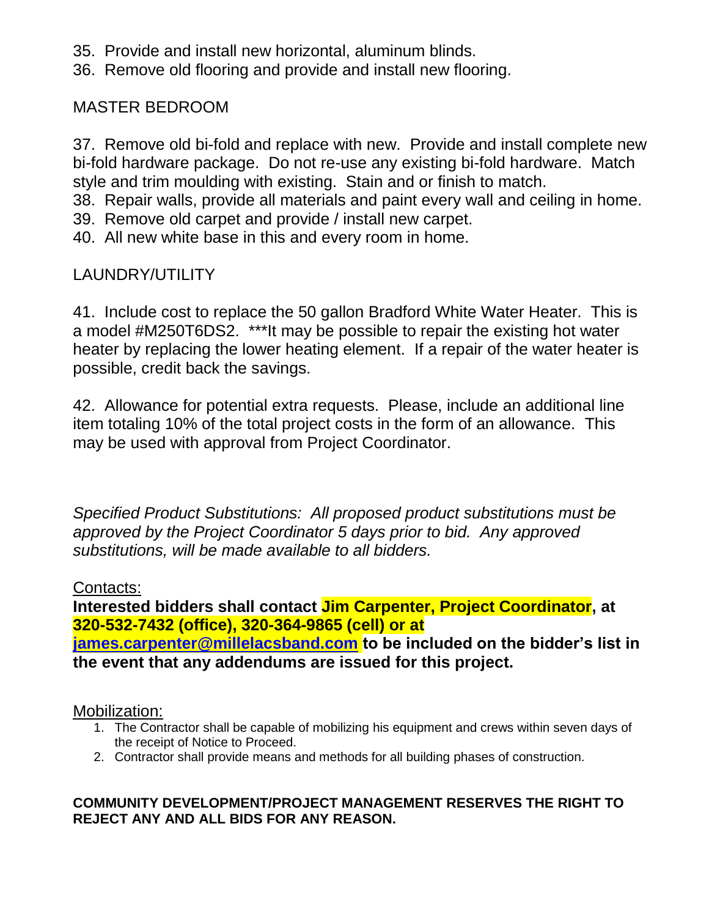- 35. Provide and install new horizontal, aluminum blinds.
- 36. Remove old flooring and provide and install new flooring.

MASTER BEDROOM

37. Remove old bi-fold and replace with new. Provide and install complete new bi-fold hardware package. Do not re-use any existing bi-fold hardware. Match style and trim moulding with existing. Stain and or finish to match.

38. Repair walls, provide all materials and paint every wall and ceiling in home.

- 39. Remove old carpet and provide / install new carpet.
- 40. All new white base in this and every room in home.

# LAUNDRY/UTILITY

41. Include cost to replace the 50 gallon Bradford White Water Heater. This is a model #M250T6DS2. \*\*\*It may be possible to repair the existing hot water heater by replacing the lower heating element. If a repair of the water heater is possible, credit back the savings.

42. Allowance for potential extra requests. Please, include an additional line item totaling 10% of the total project costs in the form of an allowance. This may be used with approval from Project Coordinator.

*Specified Product Substitutions: All proposed product substitutions must be approved by the Project Coordinator 5 days prior to bid. Any approved substitutions, will be made available to all bidders.*

# Contacts:

**Interested bidders shall contact Jim Carpenter, Project Coordinator, at 320-532-7432 (office), 320-364-9865 (cell) or at [james.carpenter@millelacsband.com](mailto:james.carpenter@millelacsband.com) to be included on the bidder's list in** 

**the event that any addendums are issued for this project.**

### Mobilization:

- 1. The Contractor shall be capable of mobilizing his equipment and crews within seven days of the receipt of Notice to Proceed.
- 2. Contractor shall provide means and methods for all building phases of construction.

### **COMMUNITY DEVELOPMENT/PROJECT MANAGEMENT RESERVES THE RIGHT TO REJECT ANY AND ALL BIDS FOR ANY REASON.**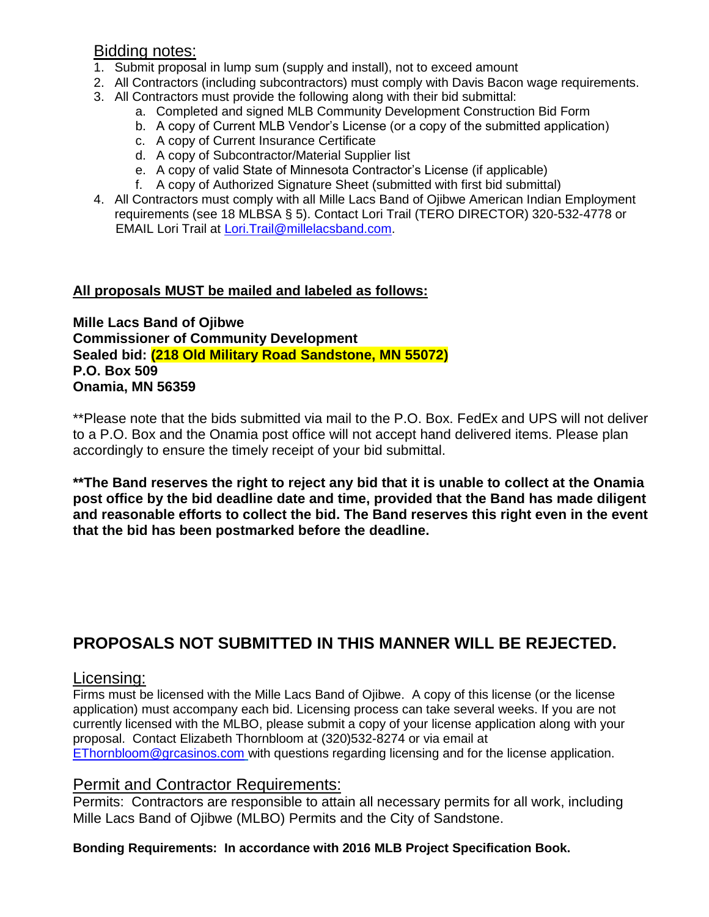#### Bidding notes:

- 1. Submit proposal in lump sum (supply and install), not to exceed amount
- 2. All Contractors (including subcontractors) must comply with Davis Bacon wage requirements.
- 3. All Contractors must provide the following along with their bid submittal:
	- a. Completed and signed MLB Community Development Construction Bid Form
	- b. A copy of Current MLB Vendor's License (or a copy of the submitted application)
	- c. A copy of Current Insurance Certificate
	- d. A copy of Subcontractor/Material Supplier list
	- e. A copy of valid State of Minnesota Contractor's License (if applicable)
	- f. A copy of Authorized Signature Sheet (submitted with first bid submittal)
- 4. All Contractors must comply with all Mille Lacs Band of Ojibwe American Indian Employment requirements (see 18 MLBSA § 5). Contact Lori Trail (TERO DIRECTOR) 320-532-4778 or EMAIL Lori Trail at Lori. Trail@millelacsband.com.

#### **All proposals MUST be mailed and labeled as follows:**

**Mille Lacs Band of Ojibwe Commissioner of Community Development Sealed bid: (218 Old Military Road Sandstone, MN 55072) P.O. Box 509 Onamia, MN 56359**

\*\*Please note that the bids submitted via mail to the P.O. Box. FedEx and UPS will not deliver to a P.O. Box and the Onamia post office will not accept hand delivered items. Please plan accordingly to ensure the timely receipt of your bid submittal.

**\*\*The Band reserves the right to reject any bid that it is unable to collect at the Onamia post office by the bid deadline date and time, provided that the Band has made diligent and reasonable efforts to collect the bid. The Band reserves this right even in the event that the bid has been postmarked before the deadline.**

# **PROPOSALS NOT SUBMITTED IN THIS MANNER WILL BE REJECTED.**

#### Licensing:

Firms must be licensed with the Mille Lacs Band of Ojibwe. A copy of this license (or the license application) must accompany each bid. Licensing process can take several weeks. If you are not currently licensed with the MLBO, please submit a copy of your license application along with your proposal. Contact Elizabeth Thornbloom at (320)532-8274 or via email at [EThornbloom@grcasinos.com](mailto:EThornbloom@grcasinos.com) with questions regarding licensing and for the license application.

# Permit and Contractor Requirements:

Permits: Contractors are responsible to attain all necessary permits for all work, including Mille Lacs Band of Ojibwe (MLBO) Permits and the City of Sandstone.

#### **Bonding Requirements: In accordance with 2016 MLB Project Specification Book.**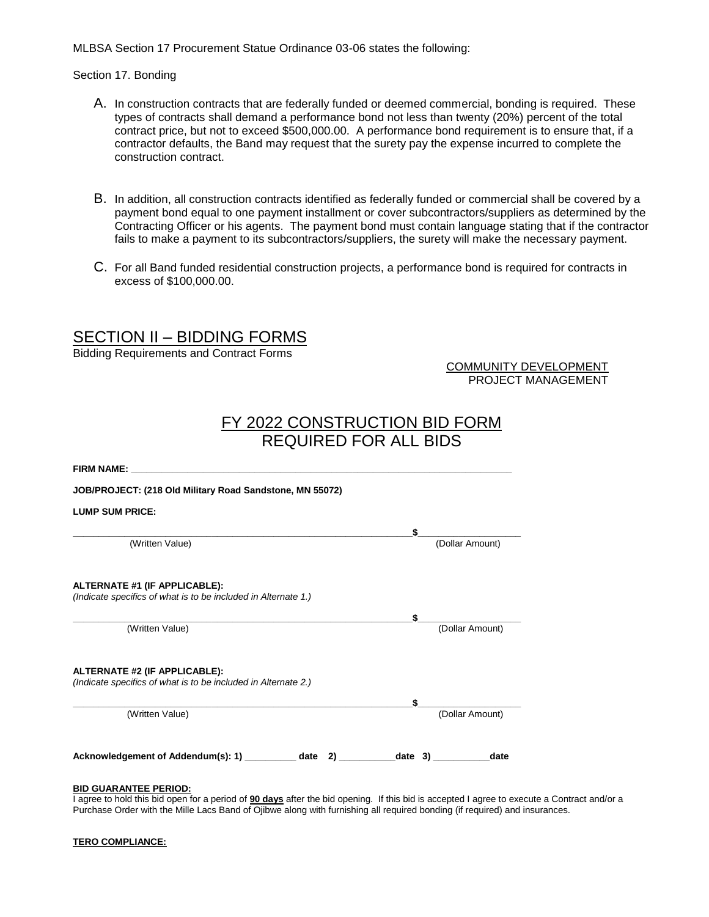MLBSA Section 17 Procurement Statue Ordinance 03-06 states the following:

#### Section 17. Bonding

- A. In construction contracts that are federally funded or deemed commercial, bonding is required. These types of contracts shall demand a performance bond not less than twenty (20%) percent of the total contract price, but not to exceed \$500,000.00. A performance bond requirement is to ensure that, if a contractor defaults, the Band may request that the surety pay the expense incurred to complete the construction contract.
- B. In addition, all construction contracts identified as federally funded or commercial shall be covered by a payment bond equal to one payment installment or cover subcontractors/suppliers as determined by the Contracting Officer or his agents. The payment bond must contain language stating that if the contractor fails to make a payment to its subcontractors/suppliers, the surety will make the necessary payment.
- C. For all Band funded residential construction projects, a performance bond is required for contracts in excess of \$100,000.00.

### SECTION II – BIDDING FORMS

Bidding Requirements and Contract Forms

COMMUNITY DEVELOPMENT PROJECT MANAGEMENT

# FY 2022 CONSTRUCTION BID FORM REQUIRED FOR ALL BIDS

| FIRM NAME: THE RESIDENCE OF THE RESIDENCE OF THE RESIDENCE OF THE RESIDENCE OF THE RESIDENCE OF THE RESIDENCE OF THE RESIDENCE OF THE RESIDENCE OF THE RESIDENCE OF THE RESIDENCE OF THE RESIDENCE OF THE RESIDENCE OF THE RES |                 |
|--------------------------------------------------------------------------------------------------------------------------------------------------------------------------------------------------------------------------------|-----------------|
| JOB/PROJECT: (218 Old Military Road Sandstone, MN 55072)                                                                                                                                                                       |                 |
| <b>LUMP SUM PRICE:</b>                                                                                                                                                                                                         |                 |
|                                                                                                                                                                                                                                | \$              |
| (Written Value)                                                                                                                                                                                                                | (Dollar Amount) |
| ALTERNATE #1 (IF APPLICABLE):<br>(Indicate specifics of what is to be included in Alternate 1.)                                                                                                                                |                 |
|                                                                                                                                                                                                                                | \$              |
| (Written Value)                                                                                                                                                                                                                | (Dollar Amount) |
| ALTERNATE #2 (IF APPLICABLE):<br>(Indicate specifics of what is to be included in Alternate 2.)                                                                                                                                |                 |
|                                                                                                                                                                                                                                | \$              |
| (Written Value)                                                                                                                                                                                                                | (Dollar Amount) |
| Acknowledgement of Addendum(s): 1) ____________ date<br>2)                                                                                                                                                                     | date 3<br>date  |

#### **BID GUARANTEE PERIOD:**

I agree to hold this bid open for a period of **90 days** after the bid opening. If this bid is accepted I agree to execute a Contract and/or a Purchase Order with the Mille Lacs Band of Ojibwe along with furnishing all required bonding (if required) and insurances.

| <b>TERO COMPLIANCE:</b> |
|-------------------------|
|                         |